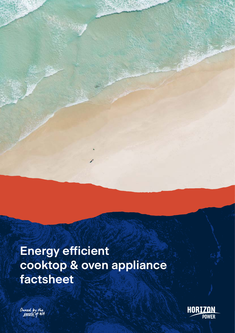# **Energy efficient cooktop & oven appliance factsheet**



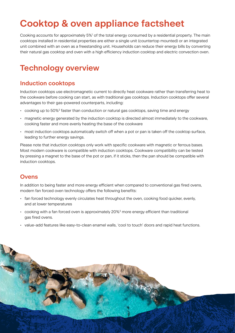# **Cooktop & oven appliance factsheet**

Cooking accounts for approximately 5%<sup>1</sup> of the total energy consumed by a residential property. The main cooktops installed in residential properties are either a single unit (countertop mounted) or an integrated unit combined with an oven as a freestanding unit. Households can reduce their energy bills by converting their natural gas cooktop and oven with a high efficiency induction cooktop and electric convection oven.

# **Technology overview**

## **Induction cooktops**

Induction cooktops use electromagnetic current to directly heat cookware rather than transferring heat to the cookware before cooking can start, as with traditional gas cooktops. Induction cooktops offer several advantages to their gas-powered counterparts, including:

- $\cdot$  cooking up to 50%<sup>2</sup> faster than conduction or natural gas cooktops, saving time and energy
- magnetic energy generated by the induction cooktop is directed almost immediately to the cookware, cooking faster and more evenly heating the base of the cookware
- most induction cooktops automatically switch off when a pot or pan is taken off the cooktop surface, leading to further energy savings.

Please note that induction cooktops only work with specific cookware with magnetic or ferrous bases. Most modern cookware is compatible with induction cooktops. Cookware compatibility can be tested by pressing a magnet to the base of the pot or pan, if it sticks, then the pan should be compatible with induction cooktops.

### **Ovens**

In addition to being faster and more energy efficient when compared to conventional gas fired ovens, modern fan forced oven technology offers the following benefits:

- fan forced technology evenly circulates heat throughout the oven, cooking food quicker, evenly, and at lower temperatures
- $\cdot$  cooking with a fan forced oven is approximately 20%<sup>3</sup> more energy efficient than traditional gas fired ovens.
- value-add features like easy-to-clean enamel walls, 'cool to touch' doors and rapid heat functions.

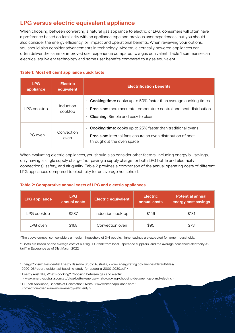## **LPG versus electric equivalent appliance**

When choosing between converting a natural gas appliance to electric or LPG, consumers will often have a preference based on familiarity with an appliance type and previous user experiences, but you should also consider the energy efficiency, bill impact and operational benefits. When reviewing your options, you should also consider advancements in technology. Modern, electrically powered appliances can often deliver the same or improved user experience compared to a gas equivalent. Table 1 summarises an electrical equivalent technology and some user benefits compared to a gas equivalent.

#### **Table 1: Most efficient appliance quick facts**

| <b>LPG</b><br>appliance | <b>Electric</b><br>equivalent | <b>Electrification benefits</b>                                                                                                                                                                                                         |  |
|-------------------------|-------------------------------|-----------------------------------------------------------------------------------------------------------------------------------------------------------------------------------------------------------------------------------------|--|
| LPG cooktop             | Induction<br>cooktop          | <b>Cooking time:</b> cooks up to 50% faster than average cooking times<br>$\bullet$<br><b>Precision:</b> more accurate temperature control and heat distribution<br>$\bullet$<br><b>Cleaning:</b> Simple and easy to clean<br>$\bullet$ |  |
| LPG oven                | Convection<br>oven            | <b>Cooking time:</b> cooks up to 25% faster than traditional ovens<br>$\bullet$<br><b>Precision:</b> internal fans ensure an even distribution of heat<br>$\bullet$<br>throughout the oven space                                        |  |

When evaluating electric appliances, you should also consider other factors, including energy bill savings, only having a single supply charge (not paying a supply charge for both LPG bottle and electricity connections), safety, and air quality. Table 2 provides a comparison of the annual operating costs of different LPG appliances compared to electricity for an average household.

#### **Table 2: Comparative annual costs of LPG and electric appliances**

| <b>LPG appliance</b> | <b>LPG</b><br>annual costs | <b>Electric equivalent</b> | <b>Electric</b><br>annual costs | <b>Potential annual</b><br>energy cost savings |
|----------------------|----------------------------|----------------------------|---------------------------------|------------------------------------------------|
| LPG cooktop          | \$287                      | Induction cooktop          | \$156                           | \$131                                          |
| LPG oven             | \$168                      | Convection oven            | \$95                            | \$73                                           |

\*The above comparison considers a medium household of 3-4 people; higher savings are expected for larger households.

\*\*Costs are based on the average cost of a 45kg LPG tank from local Esperance suppliers, and the average household electricity A2 tariff in Esperance as of 31st March 2022.

- <sup>1</sup> EnergyConsult, Residential Energy Baseline Study: Australia, < www.energyrating.gov.au/sites/default/files/ 2020-06/report-residential-baseline-study-for-australia-2000-2030.pdf >
- <sup>2</sup> Energy Australia, What's cooking? Choosing between gas and electric,
- < www.energyaustralia.com.au/blog/better-energy/whats-cooking-choosing-between-gas-and-electric >
- <sup>3</sup> Hi-Tech Appliance, Benefits of Convection Ovens, < www.hitechappliance.com/ convection-ovens-are-more-energy-efficient/ >